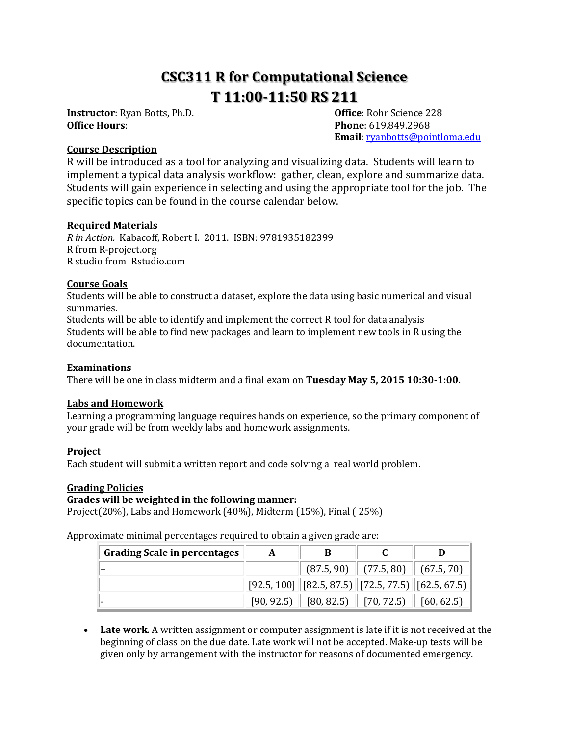# **CSC311 R for Computational Science T 11:00-11:50 RS 211**

**Instructor**: Ryan Botts, Ph.D. **Office**: Rohr Science 228 **Office Hours**: **Phone**: 619.849.2968

**Email**: [ryanbotts@pointloma.edu](mailto:ryanbotts@pointloma.edu)

# **Course Description**

R will be introduced as a tool for analyzing and visualizing data. Students will learn to implement a typical data analysis workflow: gather, clean, explore and summarize data. Students will gain experience in selecting and using the appropriate tool for the job. The specific topics can be found in the course calendar below.

## **Required Materials**

*R in Action.* Kabacoff, Robert I. 2011. ISBN: 9781935182399 R from R-project.org R studio from Rstudio.com

## **Course Goals**

Students will be able to construct a dataset, explore the data using basic numerical and visual summaries.

Students will be able to identify and implement the correct R tool for data analysis Students will be able to find new packages and learn to implement new tools in R using the documentation.

#### **Examinations**

There will be one in class midterm and a final exam on **Tuesday May 5, 2015 10:30-1:00.**

# **Labs and Homework**

Learning a programming language requires hands on experience, so the primary component of your grade will be from weekly labs and homework assignments.

#### **Project**

Each student will submit a written report and code solving a real world problem.

#### **Grading Policies**

#### **Grades will be weighted in the following manner:**

Project(20%), Labs and Homework (40%), Midterm (15%), Final ( 25%)

Approximate minimal percentages required to obtain a given grade are:

| <b>Grading Scale in percentages</b> | A | В                                                                                   |                                        |  |
|-------------------------------------|---|-------------------------------------------------------------------------------------|----------------------------------------|--|
|                                     |   |                                                                                     | $(87.5, 90)$ $(77.5, 80)$ $(67.5, 70)$ |  |
|                                     |   | $\vert$ [92.5, 100] $\vert$ [82.5, 87.5) $\vert$ [72.5, 77.5) $\vert$ [62.5, 67.5)] |                                        |  |
|                                     |   | $[90, 92.5]$ $[80, 82.5]$ $[70, 72.5]$ $[60, 62.5]$                                 |                                        |  |

 **Late work**. A written assignment or computer assignment is late if it is not received at the beginning of class on the due date. Late work will not be accepted. Make-up tests will be given only by arrangement with the instructor for reasons of documented emergency.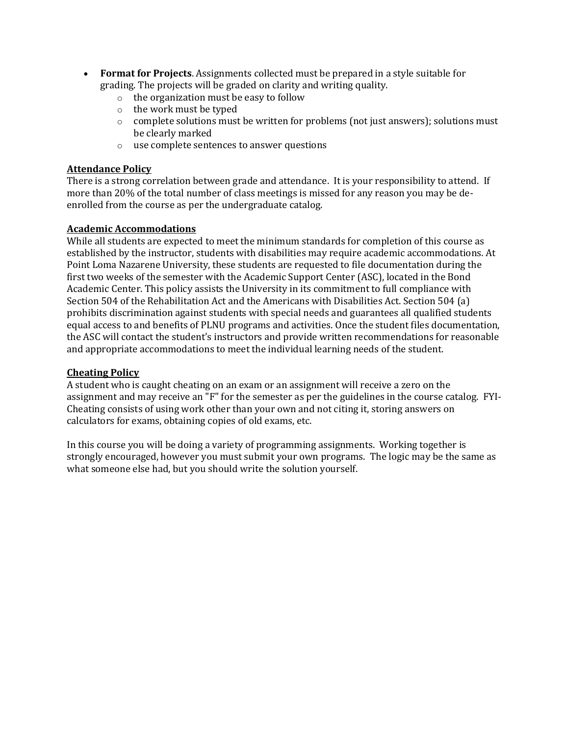- **Format for Projects**. Assignments collected must be prepared in a style suitable for grading. The projects will be graded on clarity and writing quality.
	- o the organization must be easy to follow
	- o the work must be typed
	- $\circ$  complete solutions must be written for problems (not just answers); solutions must be clearly marked
	- o use complete sentences to answer questions

## **Attendance Policy**

There is a strong correlation between grade and attendance. It is your responsibility to attend. If more than 20% of the total number of class meetings is missed for any reason you may be deenrolled from the course as per the undergraduate catalog.

## **Academic Accommodations**

While all students are expected to meet the minimum standards for completion of this course as established by the instructor, students with disabilities may require academic accommodations. At Point Loma Nazarene University, these students are requested to file documentation during the first two weeks of the semester with the Academic Support Center (ASC), located in the Bond Academic Center. This policy assists the University in its commitment to full compliance with Section 504 of the Rehabilitation Act and the Americans with Disabilities Act. Section 504 (a) prohibits discrimination against students with special needs and guarantees all qualified students equal access to and benefits of PLNU programs and activities. Once the student files documentation, the ASC will contact the student's instructors and provide written recommendations for reasonable and appropriate accommodations to meet the individual learning needs of the student.

## **Cheating Policy**

A student who is caught cheating on an exam or an assignment will receive a zero on the assignment and may receive an "F" for the semester as per the guidelines in the course catalog. FYI-Cheating consists of using work other than your own and not citing it, storing answers on calculators for exams, obtaining copies of old exams, etc.

In this course you will be doing a variety of programming assignments. Working together is strongly encouraged, however you must submit your own programs. The logic may be the same as what someone else had, but you should write the solution yourself.